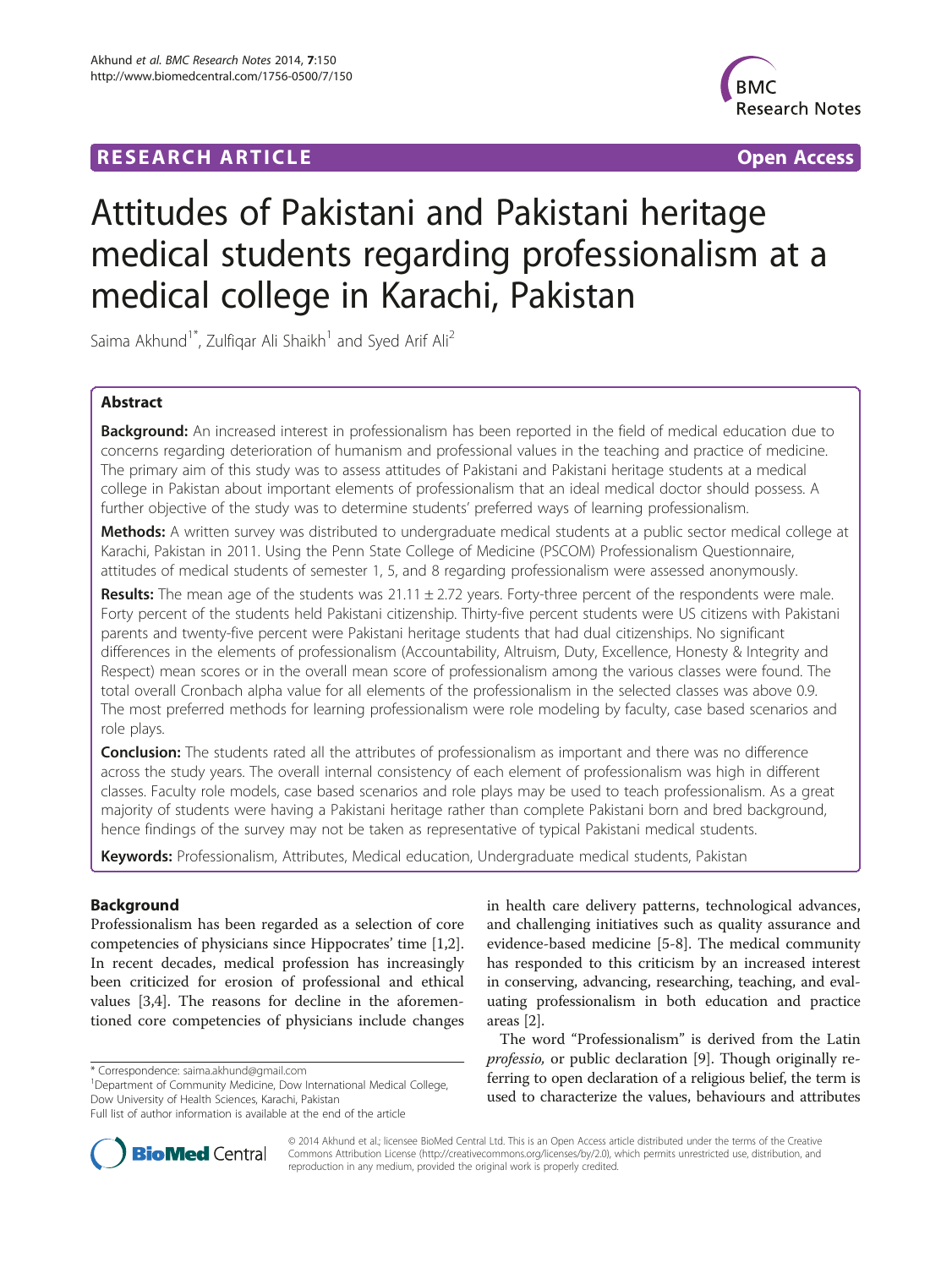## **RESEARCH ARTICLE Example 2018 12:00 Department 2018 12:00 Department 2018 12:00 Department 2018 12:00 Department 2018 12:00 Department 2018 12:00 Department 2018 12:00 Department 2018 12:00 Department 2018 12:00 Departm**



# Attitudes of Pakistani and Pakistani heritage medical students regarding professionalism at a medical college in Karachi, Pakistan

Saima Akhund<sup>1\*</sup>, Zulfiqar Ali Shaikh<sup>1</sup> and Syed Arif Ali<sup>2</sup>

## Abstract

Background: An increased interest in professionalism has been reported in the field of medical education due to concerns regarding deterioration of humanism and professional values in the teaching and practice of medicine. The primary aim of this study was to assess attitudes of Pakistani and Pakistani heritage students at a medical college in Pakistan about important elements of professionalism that an ideal medical doctor should possess. A further objective of the study was to determine students' preferred ways of learning professionalism.

Methods: A written survey was distributed to undergraduate medical students at a public sector medical college at Karachi, Pakistan in 2011. Using the Penn State College of Medicine (PSCOM) Professionalism Questionnaire, attitudes of medical students of semester 1, 5, and 8 regarding professionalism were assessed anonymously.

Results: The mean age of the students was  $21.11 \pm 2.72$  years. Forty-three percent of the respondents were male. Forty percent of the students held Pakistani citizenship. Thirty-five percent students were US citizens with Pakistani parents and twenty-five percent were Pakistani heritage students that had dual citizenships. No significant differences in the elements of professionalism (Accountability, Altruism, Duty, Excellence, Honesty & Integrity and Respect) mean scores or in the overall mean score of professionalism among the various classes were found. The total overall Cronbach alpha value for all elements of the professionalism in the selected classes was above 0.9. The most preferred methods for learning professionalism were role modeling by faculty, case based scenarios and role plays.

**Conclusion:** The students rated all the attributes of professionalism as important and there was no difference across the study years. The overall internal consistency of each element of professionalism was high in different classes. Faculty role models, case based scenarios and role plays may be used to teach professionalism. As a great majority of students were having a Pakistani heritage rather than complete Pakistani born and bred background, hence findings of the survey may not be taken as representative of typical Pakistani medical students.

Keywords: Professionalism, Attributes, Medical education, Undergraduate medical students, Pakistan

## Background

Professionalism has been regarded as a selection of core competencies of physicians since Hippocrates' time [\[1,2](#page-5-0)]. In recent decades, medical profession has increasingly been criticized for erosion of professional and ethical values [[3](#page-5-0),[4\]](#page-5-0). The reasons for decline in the aforementioned core competencies of physicians include changes

in health care delivery patterns, technological advances, and challenging initiatives such as quality assurance and evidence-based medicine [\[5](#page-5-0)-[8\]](#page-5-0). The medical community has responded to this criticism by an increased interest in conserving, advancing, researching, teaching, and evaluating professionalism in both education and practice areas [[2\]](#page-5-0).

The word "Professionalism" is derived from the Latin professio, or public declaration [[9\]](#page-5-0). Though originally referring to open declaration of a religious belief, the term is used to characterize the values, behaviours and attributes



© 2014 Akhund et al.; licensee BioMed Central Ltd. This is an Open Access article distributed under the terms of the Creative Commons Attribution License [\(http://creativecommons.org/licenses/by/2.0\)](http://creativecommons.org/licenses/by/2.0), which permits unrestricted use, distribution, and reproduction in any medium, provided the original work is properly credited.

<sup>\*</sup> Correspondence: [saima.akhund@gmail.com](mailto:saima.akhund@gmail.com) <sup>1</sup>

<sup>&</sup>lt;sup>1</sup>Department of Community Medicine, Dow International Medical College, Dow University of Health Sciences, Karachi, Pakistan

Full list of author information is available at the end of the article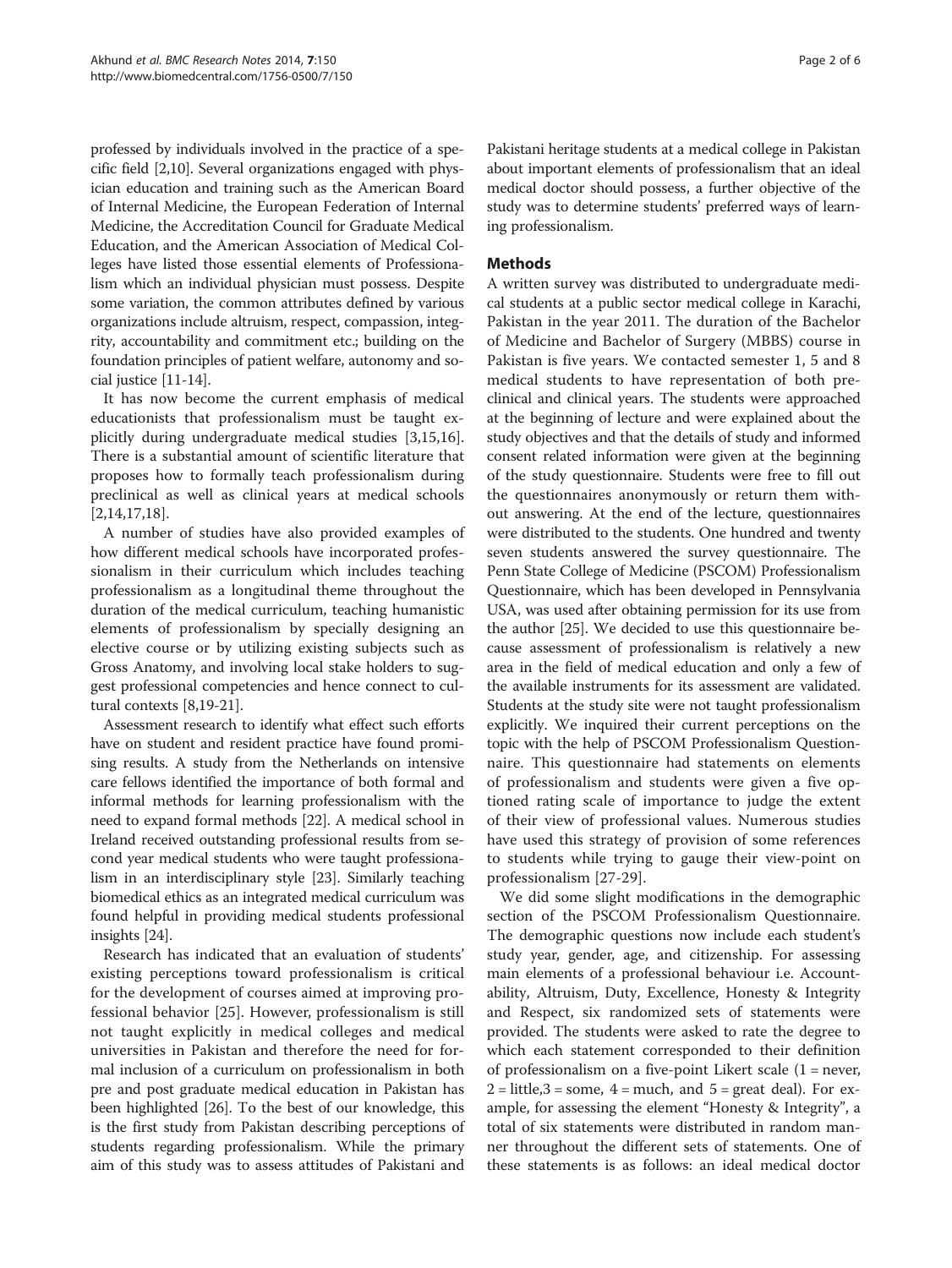professed by individuals involved in the practice of a specific field [\[2,10\]](#page-5-0). Several organizations engaged with physician education and training such as the American Board of Internal Medicine, the European Federation of Internal Medicine, the Accreditation Council for Graduate Medical Education, and the American Association of Medical Colleges have listed those essential elements of Professionalism which an individual physician must possess. Despite some variation, the common attributes defined by various organizations include altruism, respect, compassion, integrity, accountability and commitment etc.; building on the foundation principles of patient welfare, autonomy and social justice [\[11-14\]](#page-5-0).

It has now become the current emphasis of medical educationists that professionalism must be taught explicitly during undergraduate medical studies [\[3,15,16](#page-5-0)]. There is a substantial amount of scientific literature that proposes how to formally teach professionalism during preclinical as well as clinical years at medical schools [[2,14,17,18\]](#page-5-0).

A number of studies have also provided examples of how different medical schools have incorporated professionalism in their curriculum which includes teaching professionalism as a longitudinal theme throughout the duration of the medical curriculum, teaching humanistic elements of professionalism by specially designing an elective course or by utilizing existing subjects such as Gross Anatomy, and involving local stake holders to suggest professional competencies and hence connect to cultural contexts [\[8,19-21](#page-5-0)].

Assessment research to identify what effect such efforts have on student and resident practice have found promising results. A study from the Netherlands on intensive care fellows identified the importance of both formal and informal methods for learning professionalism with the need to expand formal methods [\[22\]](#page-5-0). A medical school in Ireland received outstanding professional results from second year medical students who were taught professionalism in an interdisciplinary style [\[23\]](#page-5-0). Similarly teaching biomedical ethics as an integrated medical curriculum was found helpful in providing medical students professional insights [\[24\]](#page-5-0).

Research has indicated that an evaluation of students' existing perceptions toward professionalism is critical for the development of courses aimed at improving professional behavior [[25\]](#page-5-0). However, professionalism is still not taught explicitly in medical colleges and medical universities in Pakistan and therefore the need for formal inclusion of a curriculum on professionalism in both pre and post graduate medical education in Pakistan has been highlighted [\[26](#page-5-0)]. To the best of our knowledge, this is the first study from Pakistan describing perceptions of students regarding professionalism. While the primary aim of this study was to assess attitudes of Pakistani and

Pakistani heritage students at a medical college in Pakistan about important elements of professionalism that an ideal medical doctor should possess, a further objective of the study was to determine students' preferred ways of learning professionalism.

## Methods

A written survey was distributed to undergraduate medical students at a public sector medical college in Karachi, Pakistan in the year 2011. The duration of the Bachelor of Medicine and Bachelor of Surgery (MBBS) course in Pakistan is five years. We contacted semester 1, 5 and 8 medical students to have representation of both preclinical and clinical years. The students were approached at the beginning of lecture and were explained about the study objectives and that the details of study and informed consent related information were given at the beginning of the study questionnaire. Students were free to fill out the questionnaires anonymously or return them without answering. At the end of the lecture, questionnaires were distributed to the students. One hundred and twenty seven students answered the survey questionnaire. The Penn State College of Medicine (PSCOM) Professionalism Questionnaire, which has been developed in Pennsylvania USA, was used after obtaining permission for its use from the author [\[25\]](#page-5-0). We decided to use this questionnaire because assessment of professionalism is relatively a new area in the field of medical education and only a few of the available instruments for its assessment are validated. Students at the study site were not taught professionalism explicitly. We inquired their current perceptions on the topic with the help of PSCOM Professionalism Questionnaire. This questionnaire had statements on elements of professionalism and students were given a five optioned rating scale of importance to judge the extent of their view of professional values. Numerous studies have used this strategy of provision of some references to students while trying to gauge their view-point on professionalism [\[27](#page-5-0)-[29](#page-5-0)].

We did some slight modifications in the demographic section of the PSCOM Professionalism Questionnaire. The demographic questions now include each student's study year, gender, age, and citizenship. For assessing main elements of a professional behaviour i.e. Accountability, Altruism, Duty, Excellence, Honesty & Integrity and Respect, six randomized sets of statements were provided. The students were asked to rate the degree to which each statement corresponded to their definition of professionalism on a five-point Likert scale  $(1 = never,$  $2 =$  little,  $3 =$  some,  $4 =$  much, and  $5 =$  great deal). For example, for assessing the element "Honesty & Integrity", a total of six statements were distributed in random manner throughout the different sets of statements. One of these statements is as follows: an ideal medical doctor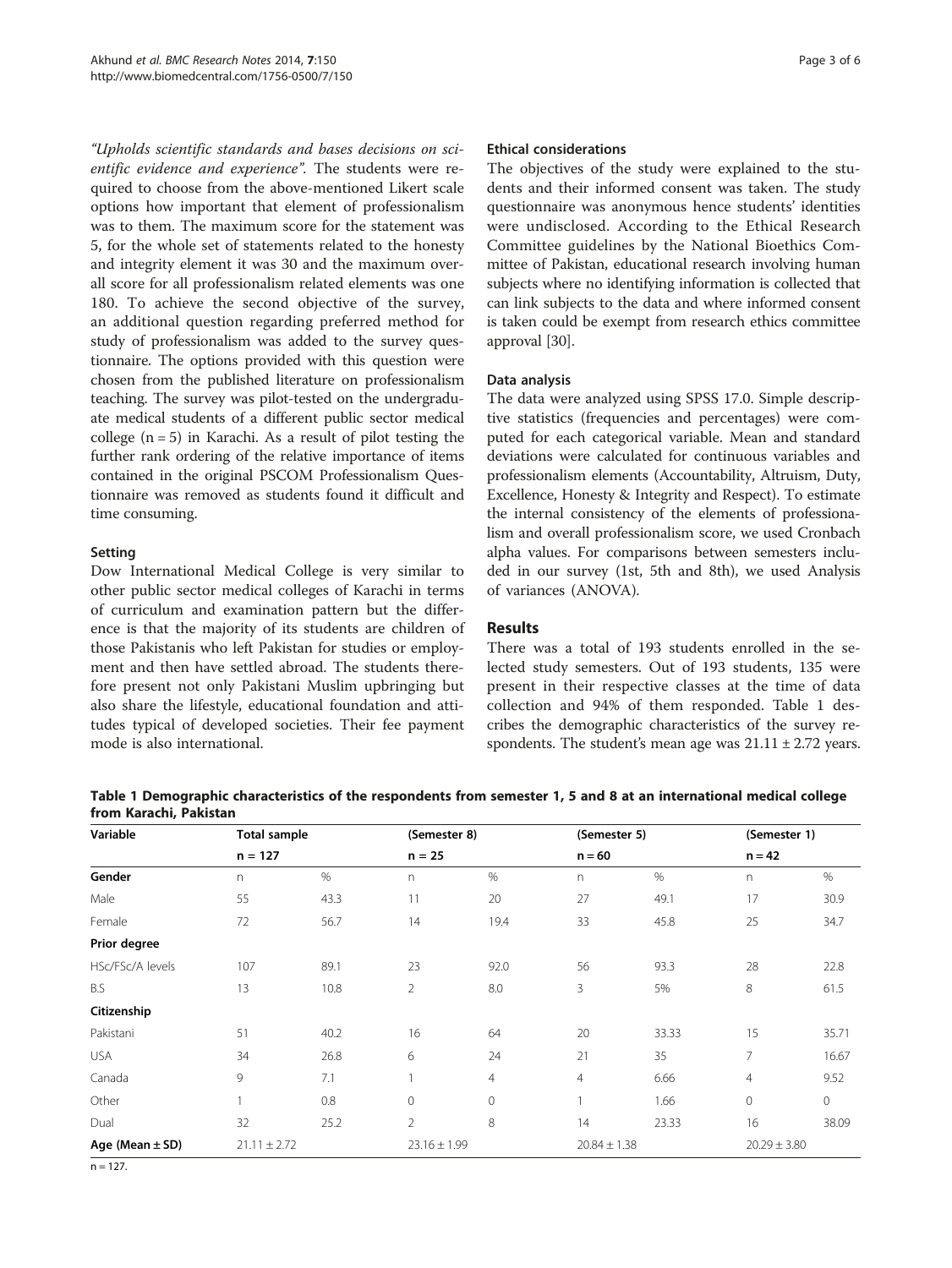"Upholds scientific standards and bases decisions on scientific evidence and experience". The students were required to choose from the above-mentioned Likert scale options how important that element of professionalism was to them. The maximum score for the statement was 5, for the whole set of statements related to the honesty and integrity element it was 30 and the maximum overall score for all professionalism related elements was one 180. To achieve the second objective of the survey, an additional question regarding preferred method for study of professionalism was added to the survey questionnaire. The options provided with this question were chosen from the published literature on professionalism teaching. The survey was pilot-tested on the undergraduate medical students of a different public sector medical college  $(n = 5)$  in Karachi. As a result of pilot testing the further rank ordering of the relative importance of items contained in the original PSCOM Professionalism Questionnaire was removed as students found it difficult and time consuming.

## Setting

Dow International Medical College is very similar to other public sector medical colleges of Karachi in terms of curriculum and examination pattern but the difference is that the majority of its students are children of those Pakistanis who left Pakistan for studies or employment and then have settled abroad. The students therefore present not only Pakistani Muslim upbringing but also share the lifestyle, educational foundation and attitudes typical of developed societies. Their fee payment mode is also international.

#### Ethical considerations

The objectives of the study were explained to the students and their informed consent was taken. The study questionnaire was anonymous hence students' identities were undisclosed. According to the Ethical Research Committee guidelines by the National Bioethics Committee of Pakistan, educational research involving human subjects where no identifying information is collected that can link subjects to the data and where informed consent is taken could be exempt from research ethics committee approval [[30](#page-5-0)].

#### Data analysis

The data were analyzed using SPSS 17.0. Simple descriptive statistics (frequencies and percentages) were computed for each categorical variable. Mean and standard deviations were calculated for continuous variables and professionalism elements (Accountability, Altruism, Duty, Excellence, Honesty & Integrity and Respect). To estimate the internal consistency of the elements of professionalism and overall professionalism score, we used Cronbach alpha values. For comparisons between semesters included in our survey (1st, 5th and 8th), we used Analysis of variances (ANOVA).

## Results

There was a total of 193 students enrolled in the selected study semesters. Out of 193 students, 135 were present in their respective classes at the time of data collection and 94% of them responded. Table 1 describes the demographic characteristics of the survey respondents. The student's mean age was  $21.11 \pm 2.72$  years.

Table 1 Demographic characteristics of the respondents from semester 1, 5 and 8 at an international medical college from Karachi, Pakistan

| Variable            | <b>Total sample</b><br>$n = 127$ |      | (Semester 8)<br>$n = 25$ |                  | (Semester 5)<br>$n = 60$ |                  | (Semester 1) |                  |  |
|---------------------|----------------------------------|------|--------------------------|------------------|--------------------------|------------------|--------------|------------------|--|
|                     |                                  |      |                          |                  |                          |                  | $n = 42$     |                  |  |
| Gender              | n                                | %    | n.                       | %                | $\mathsf{n}$             | $\%$             | n            | $\%$             |  |
| Male                | 55                               | 43.3 | 11                       | 20               | 27                       | 49.1             | 17           | 30.9             |  |
| Female              | 72                               | 56.7 | 14                       | 19.4             | 33                       | 45.8             | 25           | 34.7             |  |
| Prior degree        |                                  |      |                          |                  |                          |                  |              |                  |  |
| HSc/FSc/A levels    | 107                              | 89.1 | 23                       | 92.0             | 56                       | 93.3             | 28           | 22.8             |  |
| B.S                 | 13                               | 10.8 | $\overline{2}$           | 8.0              | $\overline{3}$           | 5%               | 8            | 61.5             |  |
| Citizenship         |                                  |      |                          |                  |                          |                  |              |                  |  |
| Pakistani           | 51                               | 40.2 | 16                       | 64               | 20                       | 33.33            | 15           | 35.71            |  |
| <b>USA</b>          | 34                               | 26.8 | 6                        | 24               | 21                       | 35               | 7            | 16.67            |  |
| Canada              | 9                                | 7.1  |                          | 4                | 4                        | 6.66             | 4            | 9.52             |  |
| Other               | 1                                | 0.8  | 0                        | $\mathbf{0}$     | 1                        | 1.66             | $\mathbf{0}$ | $\overline{0}$   |  |
| Dual                | 32                               | 25.2 | $\overline{2}$           | 8                | 14                       | 23.33            | 16           | 38.09            |  |
| Age (Mean $\pm$ SD) | $21.11 \pm 2.72$                 |      |                          | $23.16 \pm 1.99$ |                          | $20.84 \pm 1.38$ |              | $20.29 \pm 3.80$ |  |

 $n = 127.$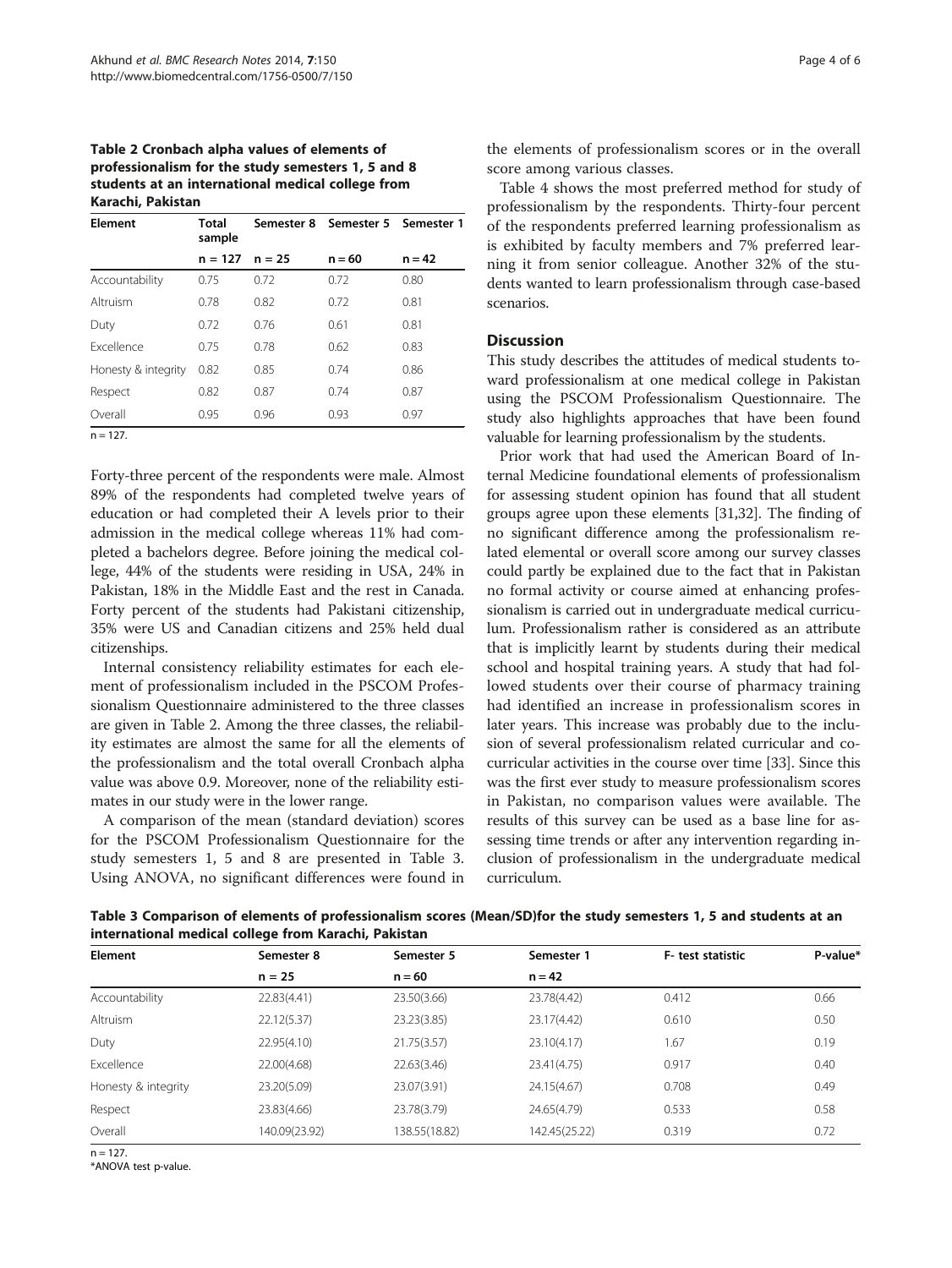## Table 2 Cronbach alpha values of elements of professionalism for the study semesters 1, 5 and 8 students at an international medical college from Karachi, Pakistan

| Element             | Total<br>sample |          | Semester 8 Semester 5 Semester 1 |          |  |
|---------------------|-----------------|----------|----------------------------------|----------|--|
|                     | $n = 127$       | $n = 25$ | $n = 60$                         | $n = 42$ |  |
| Accountability      | 0.75            | 0.72     | 0.72                             | 0.80     |  |
| Altruism            | 0.78            | 0.82     | 0.72                             | 0.81     |  |
| Duty                | 0.72            | 0.76     | 0.61                             | 0.81     |  |
| <b>Excellence</b>   | 0.75            | 0.78     | 0.62                             | 0.83     |  |
| Honesty & integrity | 0.82            | 0.85     | 0.74                             | 0.86     |  |
| Respect             | 0.82            | 0.87     | 0.74                             | 0.87     |  |
| Overall             | 0.95            | 0.96     | 0.93                             | 0.97     |  |
| $n = 127$ .         |                 |          |                                  |          |  |

Forty-three percent of the respondents were male. Almost 89% of the respondents had completed twelve years of education or had completed their A levels prior to their admission in the medical college whereas 11% had completed a bachelors degree. Before joining the medical college, 44% of the students were residing in USA, 24% in Pakistan, 18% in the Middle East and the rest in Canada. Forty percent of the students had Pakistani citizenship, 35% were US and Canadian citizens and 25% held dual citizenships.

Internal consistency reliability estimates for each element of professionalism included in the PSCOM Professionalism Questionnaire administered to the three classes are given in Table 2. Among the three classes, the reliability estimates are almost the same for all the elements of the professionalism and the total overall Cronbach alpha value was above 0.9. Moreover, none of the reliability estimates in our study were in the lower range.

A comparison of the mean (standard deviation) scores for the PSCOM Professionalism Questionnaire for the study semesters 1, 5 and 8 are presented in Table 3. Using ANOVA, no significant differences were found in

the elements of professionalism scores or in the overall score among various classes.

Table [4](#page-4-0) shows the most preferred method for study of professionalism by the respondents. Thirty-four percent of the respondents preferred learning professionalism as is exhibited by faculty members and 7% preferred learning it from senior colleague. Another 32% of the students wanted to learn professionalism through case-based scenarios.

## Discussion

This study describes the attitudes of medical students toward professionalism at one medical college in Pakistan using the PSCOM Professionalism Questionnaire. The study also highlights approaches that have been found valuable for learning professionalism by the students.

Prior work that had used the American Board of Internal Medicine foundational elements of professionalism for assessing student opinion has found that all student groups agree upon these elements [\[31,32](#page-5-0)]. The finding of no significant difference among the professionalism related elemental or overall score among our survey classes could partly be explained due to the fact that in Pakistan no formal activity or course aimed at enhancing professionalism is carried out in undergraduate medical curriculum. Professionalism rather is considered as an attribute that is implicitly learnt by students during their medical school and hospital training years. A study that had followed students over their course of pharmacy training had identified an increase in professionalism scores in later years. This increase was probably due to the inclusion of several professionalism related curricular and cocurricular activities in the course over time [\[33](#page-5-0)]. Since this was the first ever study to measure professionalism scores in Pakistan, no comparison values were available. The results of this survey can be used as a base line for assessing time trends or after any intervention regarding inclusion of professionalism in the undergraduate medical curriculum.

Table 3 Comparison of elements of professionalism scores (Mean/SD)for the study semesters 1, 5 and students at an international medical college from Karachi, Pakistan

| <b>Element</b>      | Semester 8    | Semester 5    | Semester 1    | F- test statistic | P-value* |
|---------------------|---------------|---------------|---------------|-------------------|----------|
|                     | $n = 25$      | $n = 60$      | $n = 42$      |                   |          |
| Accountability      | 22.83(4.41)   | 23.50(3.66)   | 23.78(4.42)   | 0.412             | 0.66     |
| Altruism            | 22.12(5.37)   | 23.23(3.85)   | 23.17(4.42)   | 0.610             | 0.50     |
| Duty                | 22.95(4.10)   | 21.75(3.57)   | 23.10(4.17)   | 1.67              | 0.19     |
| Excellence          | 22.00(4.68)   | 22.63(3.46)   | 23.41(4.75)   | 0.917             | 0.40     |
| Honesty & integrity | 23.20(5.09)   | 23.07(3.91)   | 24.15(4.67)   | 0.708             | 0.49     |
| Respect             | 23.83(4.66)   | 23.78(3.79)   | 24.65(4.79)   | 0.533             | 0.58     |
| Overall             | 140.09(23.92) | 138.55(18.82) | 142.45(25.22) | 0.319             | 0.72     |

 $n = 127$ .

\*ANOVA test p-value.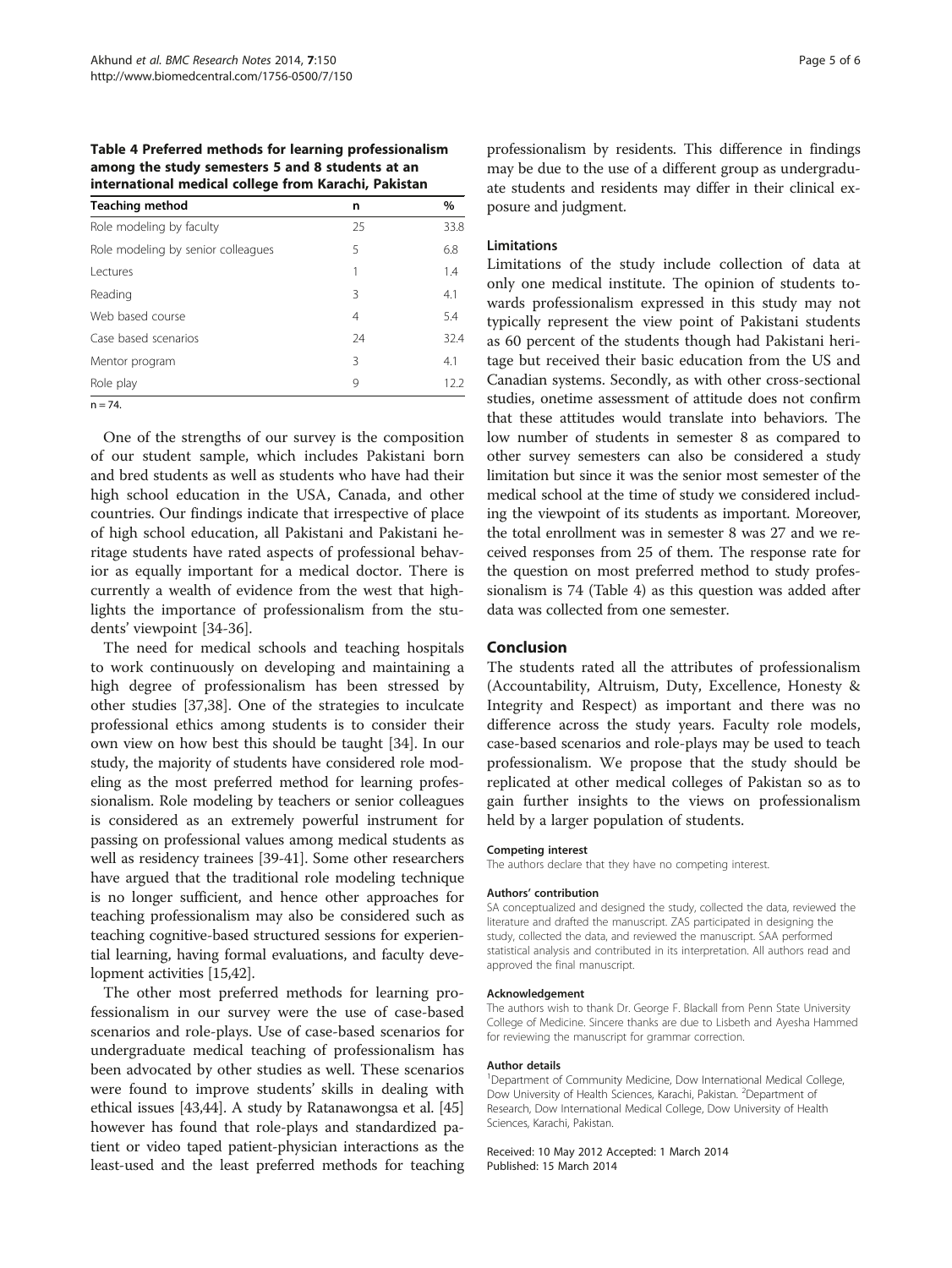<span id="page-4-0"></span>Table 4 Preferred methods for learning professionalism among the study semesters 5 and 8 students at an international medical college from Karachi, Pakistan

| <b>Teaching method</b>             | n  | $\%$ |
|------------------------------------|----|------|
| Role modeling by faculty           | 25 | 33.8 |
| Role modeling by senior colleagues | 5  | 6.8  |
| <i>l</i> ectures                   | 1  | 1.4  |
| Reading                            | 3  | 4.1  |
| Web based course                   | 4  | 5.4  |
| Case based scenarios               | 24 | 32.4 |
| Mentor program                     | 3  | 4.1  |
| Role play                          | 9  | 12.2 |

 $n = 74.$ 

One of the strengths of our survey is the composition of our student sample, which includes Pakistani born and bred students as well as students who have had their high school education in the USA, Canada, and other countries. Our findings indicate that irrespective of place of high school education, all Pakistani and Pakistani heritage students have rated aspects of professional behavior as equally important for a medical doctor. There is currently a wealth of evidence from the west that highlights the importance of professionalism from the students' viewpoint [\[34](#page-5-0)-[36\]](#page-5-0).

The need for medical schools and teaching hospitals to work continuously on developing and maintaining a high degree of professionalism has been stressed by other studies [[37,38\]](#page-5-0). One of the strategies to inculcate professional ethics among students is to consider their own view on how best this should be taught [\[34\]](#page-5-0). In our study, the majority of students have considered role modeling as the most preferred method for learning professionalism. Role modeling by teachers or senior colleagues is considered as an extremely powerful instrument for passing on professional values among medical students as well as residency trainees [[39](#page-5-0)-[41\]](#page-5-0). Some other researchers have argued that the traditional role modeling technique is no longer sufficient, and hence other approaches for teaching professionalism may also be considered such as teaching cognitive-based structured sessions for experiential learning, having formal evaluations, and faculty development activities [\[15,42](#page-5-0)].

The other most preferred methods for learning professionalism in our survey were the use of case-based scenarios and role-plays. Use of case-based scenarios for undergraduate medical teaching of professionalism has been advocated by other studies as well. These scenarios were found to improve students' skills in dealing with ethical issues [\[43,44\]](#page-5-0). A study by Ratanawongsa et al. [[45](#page-5-0)] however has found that role-plays and standardized patient or video taped patient-physician interactions as the least-used and the least preferred methods for teaching

professionalism by residents. This difference in findings may be due to the use of a different group as undergraduate students and residents may differ in their clinical exposure and judgment.

#### Limitations

Limitations of the study include collection of data at only one medical institute. The opinion of students towards professionalism expressed in this study may not typically represent the view point of Pakistani students as 60 percent of the students though had Pakistani heritage but received their basic education from the US and Canadian systems. Secondly, as with other cross-sectional studies, onetime assessment of attitude does not confirm that these attitudes would translate into behaviors. The low number of students in semester 8 as compared to other survey semesters can also be considered a study limitation but since it was the senior most semester of the medical school at the time of study we considered including the viewpoint of its students as important. Moreover, the total enrollment was in semester 8 was 27 and we received responses from 25 of them. The response rate for the question on most preferred method to study professionalism is 74 (Table 4) as this question was added after data was collected from one semester.

#### Conclusion

The students rated all the attributes of professionalism (Accountability, Altruism, Duty, Excellence, Honesty & Integrity and Respect) as important and there was no difference across the study years. Faculty role models, case-based scenarios and role-plays may be used to teach professionalism. We propose that the study should be replicated at other medical colleges of Pakistan so as to gain further insights to the views on professionalism held by a larger population of students.

#### Competing interest

The authors declare that they have no competing interest.

#### Authors' contribution

SA conceptualized and designed the study, collected the data, reviewed the literature and drafted the manuscript. ZAS participated in designing the study, collected the data, and reviewed the manuscript. SAA performed statistical analysis and contributed in its interpretation. All authors read and approved the final manuscript.

#### Acknowledgement

The authors wish to thank Dr. George F. Blackall from Penn State University College of Medicine. Sincere thanks are due to Lisbeth and Ayesha Hammed for reviewing the manuscript for grammar correction.

#### Author details

<sup>1</sup>Department of Community Medicine, Dow International Medical College, Dow University of Health Sciences, Karachi, Pakistan. <sup>2</sup>Department of Research, Dow International Medical College, Dow University of Health Sciences, Karachi, Pakistan.

#### Received: 10 May 2012 Accepted: 1 March 2014 Published: 15 March 2014